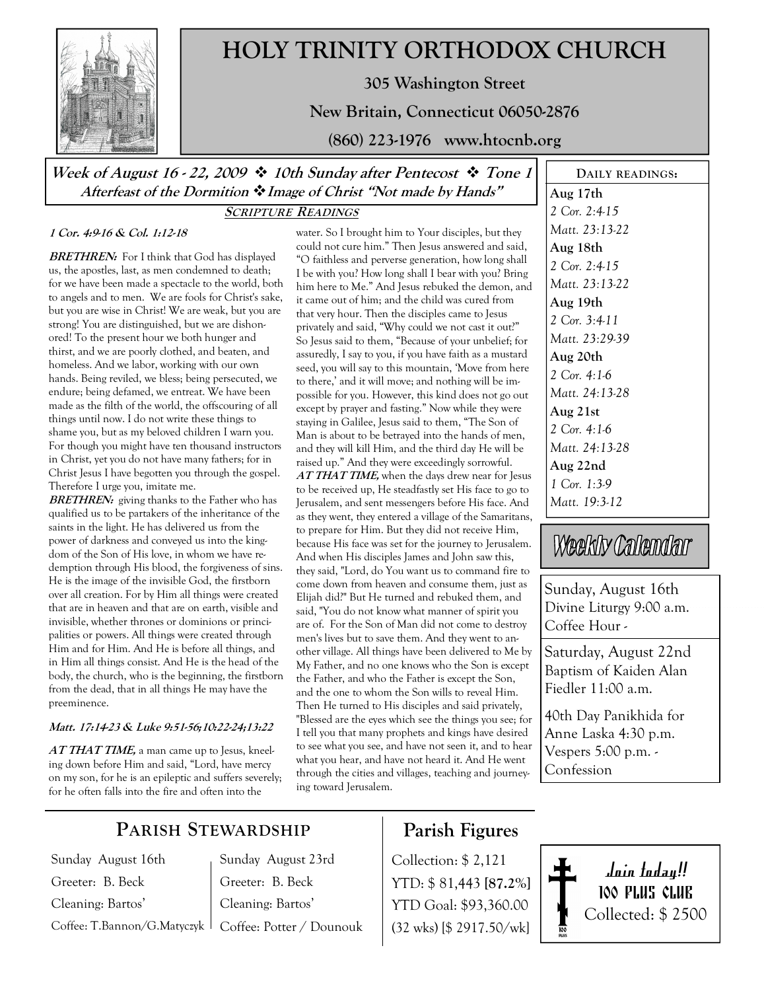

# HOLY TRINITY ORTHODOX CHURCH

305 Washington Street

New Britain, Connecticut 06050-2876

(860) 223-1976 www.htocnb.org

Week of August 16 - 22, 2009  $\cdot$  10th Sunday after Pentecost  $\cdot$  Tone 1 Afterfeast of the Dormition  $\cdot \cdot$  Image of Christ "Not made by Hands"

#### SCRIPTURE READINGS

#### 1 Cor. 4:9-16 & Col. 1:12-18

**BRETHREN:** For I think that God has displayed us, the apostles, last, as men condemned to death; for we have been made a spectacle to the world, both to angels and to men. We are fools for Christ's sake, but you are wise in Christ! We are weak, but you are strong! You are distinguished, but we are dishonored! To the present hour we both hunger and thirst, and we are poorly clothed, and beaten, and homeless. And we labor, working with our own hands. Being reviled, we bless; being persecuted, we endure; being defamed, we entreat. We have been made as the filth of the world, the offscouring of all things until now. I do not write these things to shame you, but as my beloved children I warn you. For though you might have ten thousand instructors in Christ, yet you do not have many fathers; for in Christ Jesus I have begotten you through the gospel. Therefore I urge you, imitate me.

**BRETHREN:** giving thanks to the Father who has qualified us to be partakers of the inheritance of the saints in the light. He has delivered us from the power of darkness and conveyed us into the kingdom of the Son of His love, in whom we have redemption through His blood, the forgiveness of sins. He is the image of the invisible God, the firstborn over all creation. For by Him all things were created that are in heaven and that are on earth, visible and invisible, whether thrones or dominions or principalities or powers. All things were created through Him and for Him. And He is before all things, and in Him all things consist. And He is the head of the body, the church, who is the beginning, the firstborn from the dead, that in all things He may have the preeminence.

#### Matt. 17:14-23 & Luke 9:51-56;10:22-24;13:22

 $ATTHAT TIME$ , a man came up to Jesus, kneeling down before Him and said, "Lord, have mercy on my son, for he is an epileptic and suffers severely; for he often falls into the fire and often into the

water. So I brought him to Your disciples, but they could not cure him." Then Jesus answered and said, "O faithless and perverse generation, how long shall I be with you? How long shall I bear with you? Bring him here to Me." And Jesus rebuked the demon, and it came out of him; and the child was cured from that very hour. Then the disciples came to Jesus privately and said, "Why could we not cast it out?" So Jesus said to them, "Because of your unbelief; for assuredly, I say to you, if you have faith as a mustard seed, you will say to this mountain, 'Move from here to there,' and it will move; and nothing will be impossible for you. However, this kind does not go out except by prayer and fasting." Now while they were staying in Galilee, Jesus said to them, "The Son of Man is about to be betrayed into the hands of men, and they will kill Him, and the third day He will be raised up." And they were exceedingly sorrowful. AT THAT TIME, when the days drew near for Jesus to be received up, He steadfastly set His face to go to Jerusalem, and sent messengers before His face. And as they went, they entered a village of the Samaritans, to prepare for Him. But they did not receive Him, because His face was set for the journey to Jerusalem. And when His disciples James and John saw this, they said, "Lord, do You want us to command fire to come down from heaven and consume them, just as Elijah did?" But He turned and rebuked them, and said, "You do not know what manner of spirit you are of. For the Son of Man did not come to destroy men's lives but to save them. And they went to another village. All things have been delivered to Me by My Father, and no one knows who the Son is except the Father, and who the Father is except the Son, and the one to whom the Son wills to reveal Him. Then He turned to His disciples and said privately, "Blessed are the eyes which see the things you see; for I tell you that many prophets and kings have desired to see what you see, and have not seen it, and to hear what you hear, and have not heard it. And He went through the cities and villages, teaching and journeying toward Jerusalem.

DAILY READINGS: Aug 17th 2 Cor. 2:4-15 Matt. 23:13-22 Aug 18th 2 Cor. 2:4-15 Matt. 23:13-22 Aug 19th 2 Cor. 3:4-11 Matt. 23:29-39 Aug 20th 2 Cor. 4:1-6 Matt. 24:13-28 Aug 21st 2 Cor. 4:1-6 Matt. 24:13-28 Aug 22nd 1 Cor. 1:3-9 Matt. 19:3-12

# Weekly Calendar

Sunday, August 16th Divine Liturgy 9:00 a.m. Coffee Hour -

Saturday, August 22nd Baptism of Kaiden Alan Fiedler 11:00 a.m.

40th Day Panikhida for Anne Laska 4:30 p.m. Vespers 5:00 p.m. - Confession

# PARISH STEWARDSHIP

Sunday August 16th Greeter: B. Beck Cleaning: Bartos'

Coffee: T.Bannon/G.Matyczyk Coffee: Potter / Dounouk Sunday August 23rd Greeter: B. Beck Cleaning: Bartos'

# Parish Figures

Collection: \$ 2,121 YTD: \$ 81,443 [87.2%] YTD Goal: \$93,360.00 (32 wks) [\$ 2917.50/wk]